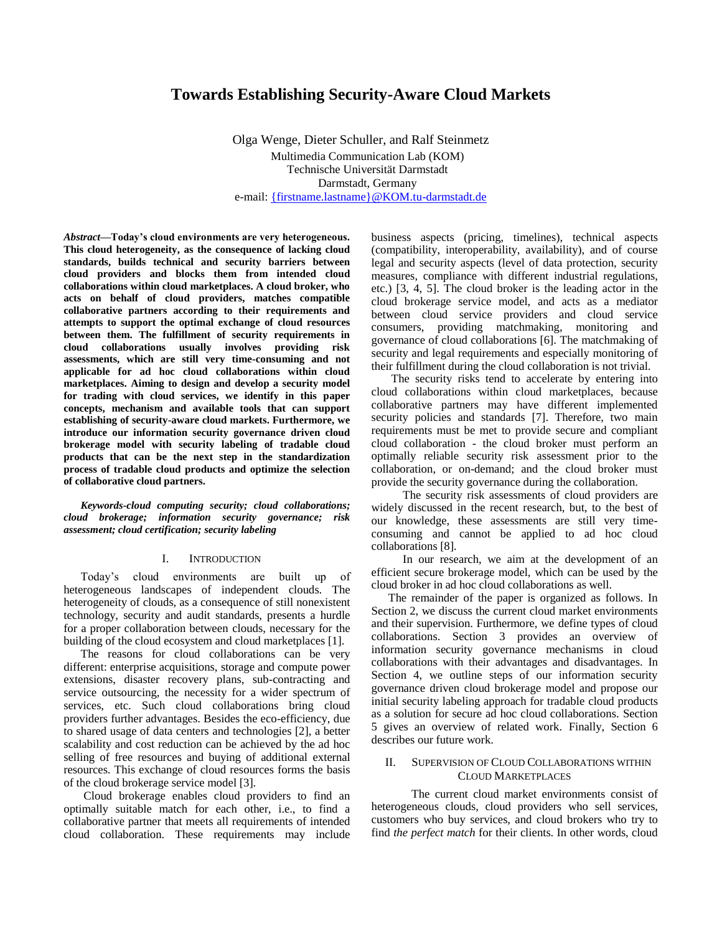Olga Wenge, Dieter Schuller and Ralf Steinmetz: Towards Establishing Security-Aware Cloud Markets. In: Proceedings of the 6th International Conference on Cloud Computing (CloudCom), December 2014.

# **Towards Establishing Security-Aware Cloud Markets**

Olga Wenge, Dieter Schuller, and Ralf Steinmetz Multimedia Communication Lab (KOM) Technische Universität Darmstadt Darmstadt, Germany e-mail: [{firstname.lastname}@KOM.tu-darmstadt.de](mailto:%7bfirstname.lastname%7d@KOM.tu-darmstadt.de)

*Abstract***—Today's cloud environments are very heterogeneous. This cloud heterogeneity, as the consequence of lacking cloud standards, builds technical and security barriers between cloud providers and blocks them from intended cloud collaborations within cloud marketplaces. A cloud broker, who acts on behalf of cloud providers, matches compatible collaborative partners according to their requirements and attempts to support the optimal exchange of cloud resources between them. The fulfillment of security requirements in cloud collaborations usually involves providing risk assessments, which are still very time-consuming and not applicable for ad hoc cloud collaborations within cloud marketplaces. Aiming to design and develop a security model for trading with cloud services, we identify in this paper concepts, mechanism and available tools that can support establishing of security-aware cloud markets. Furthermore, we introduce our information security governance driven cloud brokerage model with security labeling of tradable cloud products that can be the next step in the standardization process of tradable cloud products and optimize the selection of collaborative cloud partners.**

*Keywords-cloud computing security; cloud collaborations; cloud brokerage; information security governance; risk assessment; cloud certification; security labeling*

#### I. INTRODUCTION

Today's cloud environments are built up of heterogeneous landscapes of independent clouds. The heterogeneity of clouds, as a consequence of still nonexistent technology, security and audit standards, presents a hurdle for a proper collaboration between clouds, necessary for the building of the cloud ecosystem and cloud marketplaces [1].

The reasons for cloud collaborations can be very different: enterprise acquisitions, storage and compute power extensions, disaster recovery plans, sub-contracting and service outsourcing, the necessity for a wider spectrum of services, etc. Such cloud collaborations bring cloud providers further advantages. Besides the eco-efficiency, due to shared usage of data centers and technologies [2], a better scalability and cost reduction can be achieved by the ad hoc selling of free resources and buying of additional external resources. This exchange of cloud resources forms the basis of the cloud brokerage service model [3].

Cloud brokerage enables cloud providers to find an optimally suitable match for each other, i.e., to find a collaborative partner that meets all requirements of intended cloud collaboration. These requirements may include

business aspects (pricing, timelines), technical aspects (compatibility, interoperability, availability), and of course legal and security aspects (level of data protection, security measures, compliance with different industrial regulations, etc.) [3, 4, 5]. The cloud broker is the leading actor in the cloud brokerage service model, and acts as a mediator between cloud service providers and cloud service consumers, providing matchmaking, monitoring and governance of cloud collaborations [6]. The matchmaking of security and legal requirements and especially monitoring of their fulfillment during the cloud collaboration is not trivial.

The security risks tend to accelerate by entering into cloud collaborations within cloud marketplaces, because collaborative partners may have different implemented security policies and standards [7]. Therefore, two main requirements must be met to provide secure and compliant cloud collaboration - the cloud broker must perform an optimally reliable security risk assessment prior to the collaboration, or on-demand; and the cloud broker must provide the security governance during the collaboration.

 The security risk assessments of cloud providers are widely discussed in the recent research, but, to the best of our knowledge, these assessments are still very timeconsuming and cannot be applied to ad hoc cloud collaborations [8].

 In our research, we aim at the development of an efficient secure brokerage model, which can be used by the cloud broker in ad hoc cloud collaborations as well.

The remainder of the paper is organized as follows. In Section 2, we discuss the current cloud market environments and their supervision. Furthermore, we define types of cloud collaborations. Section 3 provides an overview of information security governance mechanisms in cloud collaborations with their advantages and disadvantages. In Section 4, we outline steps of our information security governance driven cloud brokerage model and propose our initial security labeling approach for tradable cloud products as a solution for secure ad hoc cloud collaborations. Section 5 gives an overview of related work. Finally, Section 6 describes our future work.

### II. SUPERVISION OF CLOUD COLLABORATIONS WITHIN CLOUD MARKETPLACES

 The current cloud market environments consist of heterogeneous clouds, cloud providers who sell services, customers who buy services, and cloud brokers who try to find *the perfect match* for their clients. In other words, cloud

The documents distributed by this server have been provided by the contributing authors as a means to ensure timely dissemination of scholarly and technical work on a non-commercial basis. Copyright and all rights therein are maintained by the authors or by other copyright holders, not withstanding that they have offered their works here electronically. It is understood that all persons copying this information will adhere to the terms and constraints invoked by each author's copyright. These works may not be reposted without the explicit permission of the copyright holder.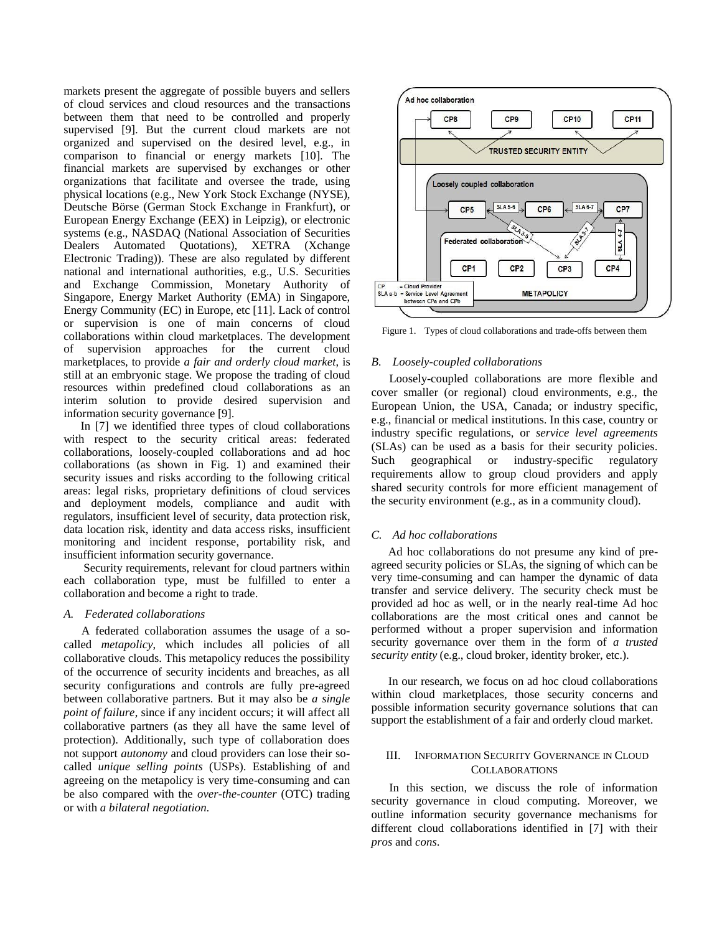markets present the aggregate of possible buyers and sellers of cloud services and cloud resources and the transactions between them that need to be controlled and properly supervised [9]. But the current cloud markets are not organized and supervised on the desired level, e.g., in comparison to financial or energy markets [10]. The financial markets are supervised by exchanges or other organizations that facilitate and oversee the trade, using physical locations (e.g., New York Stock Exchange (NYSE), Deutsche Börse (German Stock Exchange in Frankfurt), or European Energy Exchange (EEX) in Leipzig), or electronic systems (e.g., NASDAQ (National Association of Securities Dealers Automated Quotations), XETRA (Xchange Electronic Trading)). These are also regulated by different national and international authorities, e.g., U.S. Securities and Exchange Commission, Monetary Authority of Singapore, Energy Market Authority (EMA) in Singapore, Energy Community (EC) in Europe, etc [11]. Lack of control or supervision is one of main concerns of cloud collaborations within cloud marketplaces. The development of supervision approaches for the current cloud marketplaces, to provide *a fair and orderly cloud market*, is still at an embryonic stage. We propose the trading of cloud resources within predefined cloud collaborations as an interim solution to provide desired supervision and information security governance [9].

In [7] we identified three types of cloud collaborations with respect to the security critical areas: federated collaborations, loosely-coupled collaborations and ad hoc collaborations (as shown in Fig. 1) and examined their security issues and risks according to the following critical areas: legal risks, proprietary definitions of cloud services and deployment models, compliance and audit with regulators, insufficient level of security, data protection risk, data location risk, identity and data access risks, insufficient monitoring and incident response, portability risk, and insufficient information security governance.

Security requirements, relevant for cloud partners within each collaboration type, must be fulfilled to enter a collaboration and become a right to trade.

### *A. Federated collaborations*

 A federated collaboration assumes the usage of a socalled *metapolicy*, which includes all policies of all collaborative clouds. This metapolicy reduces the possibility of the occurrence of security incidents and breaches, as all security configurations and controls are fully pre-agreed between collaborative partners. But it may also be *a single point of failure*, since if any incident occurs; it will affect all collaborative partners (as they all have the same level of protection). Additionally, such type of collaboration does not support *autonomy* and cloud providers can lose their socalled *unique selling points* (USPs). Establishing of and agreeing on the metapolicy is very time-consuming and can be also compared with the *over-the-counter* (OTC) trading or with *a bilateral negotiation*.



Figure 1. Types of cloud collaborations and trade-offs between them

#### *B. Loosely-coupled collaborations*

 Loosely-coupled collaborations are more flexible and cover smaller (or regional) cloud environments, e.g., the European Union, the USA, Canada; or industry specific, e.g., financial or medical institutions. In this case, country or industry specific regulations, or *service level agreements*  (SLAs) can be used as a basis for their security policies. Such geographical or industry-specific regulatory requirements allow to group cloud providers and apply shared security controls for more efficient management of the security environment (e.g., as in a community cloud).

#### *C. Ad hoc collaborations*

Ad hoc collaborations do not presume any kind of preagreed security policies or SLAs, the signing of which can be very time-consuming and can hamper the dynamic of data transfer and service delivery. The security check must be provided ad hoc as well, or in the nearly real-time Ad hoc collaborations are the most critical ones and cannot be performed without a proper supervision and information security governance over them in the form of *a trusted security entity* (e.g., cloud broker, identity broker, etc.).

In our research, we focus on ad hoc cloud collaborations within cloud marketplaces, those security concerns and possible information security governance solutions that can support the establishment of a fair and orderly cloud market.

#### III. INFORMATION SECURITY GOVERNANCE IN CLOUD COLLABORATIONS

 In this section, we discuss the role of information security governance in cloud computing. Moreover, we outline information security governance mechanisms for different cloud collaborations identified in [7] with their *pros* and *cons*.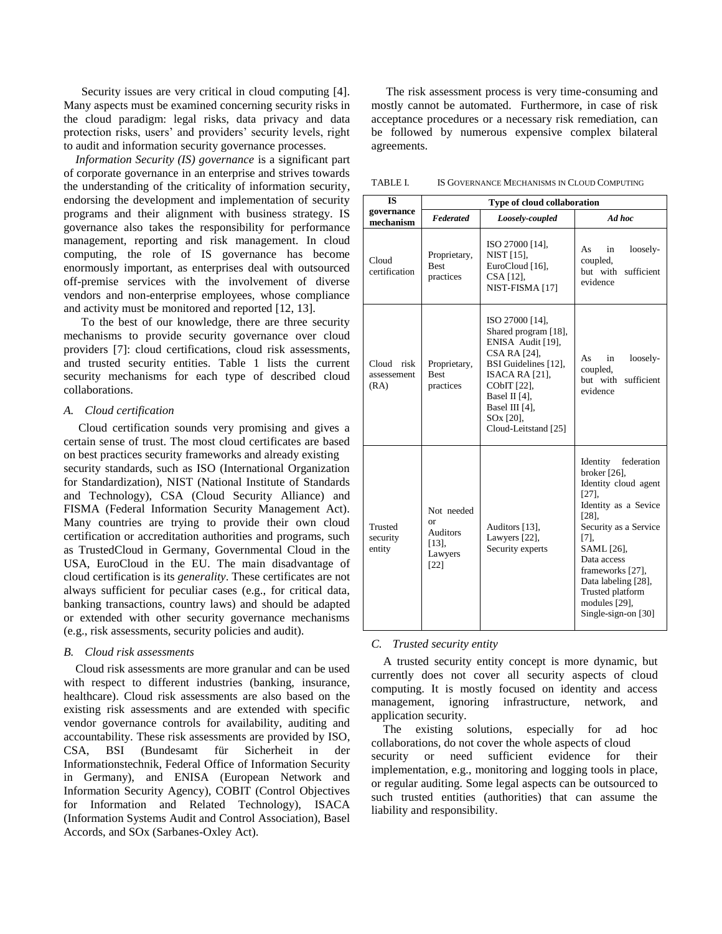Security issues are very critical in cloud computing [4]. Many aspects must be examined concerning security risks in the cloud paradigm: legal risks, data privacy and data protection risks, users' and providers' security levels, right to audit and information security governance processes.

 *Information Security (IS) governance* is a significant part of corporate governance in an enterprise and strives towards the understanding of the criticality of information security, endorsing the development and implementation of security programs and their alignment with business strategy. IS governance also takes the responsibility for performance management, reporting and risk management. In cloud computing, the role of IS governance has become enormously important, as enterprises deal with outsourced off-premise services with the involvement of diverse vendors and non-enterprise employees, whose compliance and activity must be monitored and reported [12, 13].

 To the best of our knowledge, there are three security mechanisms to provide security governance over cloud providers [7]: cloud certifications, cloud risk assessments, and trusted security entities. Table 1 lists the current security mechanisms for each type of described cloud collaborations.

### *A. Cloud certification*

 Cloud certification sounds very promising and gives a certain sense of trust. The most cloud certificates are based on best practices security frameworks and already existing security standards, such as ISO (International Organization for Standardization), NIST (National Institute of Standards and Technology), CSA (Cloud Security Alliance) and FISMA (Federal Information Security Management Act). Many countries are trying to provide their own cloud certification or accreditation authorities and programs, such as TrustedCloud in Germany, Governmental Cloud in the USA, EuroCloud in the EU. The main disadvantage of cloud certification is its *generality*. These certificates are not always sufficient for peculiar cases (e.g., for critical data, banking transactions, country laws) and should be adapted or extended with other security governance mechanisms (e.g., risk assessments, security policies and audit).

### *B. Cloud risk assessments*

 Cloud risk assessments are more granular and can be used with respect to different industries (banking, insurance, healthcare). Cloud risk assessments are also based on the existing risk assessments and are extended with specific vendor governance controls for availability, auditing and accountability. These risk assessments are provided by ISO, CSA, BSI (Bundesamt für Sicherheit in der Informationstechnik, Federal Office of Information Security in Germany), and ENISA (European Network and Information Security Agency), COBIT (Control Objectives for Information and Related Technology), ISACA (Information Systems Audit and Control Association), Basel Accords, and SOx (Sarbanes-Oxley Act).

 The risk assessment process is very time-consuming and mostly cannot be automated. Furthermore, in case of risk acceptance procedures or a necessary risk remediation, can be followed by numerous expensive complex bilateral agreements.

TABLE I. IS GOVERNANCE MECHANISMS IN CLOUD COMPUTING

| <b>IS</b><br>governance<br>mechanism | Type of cloud collaboration                                          |                                                                                                                                                                                                                          |                                                                                                                                                                                                                                                                                          |
|--------------------------------------|----------------------------------------------------------------------|--------------------------------------------------------------------------------------------------------------------------------------------------------------------------------------------------------------------------|------------------------------------------------------------------------------------------------------------------------------------------------------------------------------------------------------------------------------------------------------------------------------------------|
|                                      | <b>Federated</b>                                                     | Loosely-coupled                                                                                                                                                                                                          | Ad hoc                                                                                                                                                                                                                                                                                   |
| Cloud<br>certification               | Proprietary,<br><b>Best</b><br>practices                             | ISO 27000 [14],<br>NIST [15],<br>EuroCloud [16],<br>CSA [12],<br>NIST-FISMA <sup>[17]</sup>                                                                                                                              | in<br>As<br>loosely-<br>coupled,<br>but with<br>sufficient<br>evidence                                                                                                                                                                                                                   |
| Cloud<br>risk<br>assessement<br>(RA) | Proprietary,<br><b>Best</b><br>practices                             | ISO 27000 [14],<br>Shared program [18],<br>ENISA Audit [19],<br>CSA RA [24],<br>BSI Guidelines [12],<br>ISACA RA [21],<br>СОЫТ [22],<br>Basel II [4],<br>Basel III [4].<br>SO <sub>x</sub> [20].<br>Cloud-Leitstand [25] | loosely-<br>As<br>in<br>coupled,<br>but with<br>sufficient<br>evidence                                                                                                                                                                                                                   |
| Trusted<br>security<br>entity        | Not needed<br>or<br><b>Auditors</b><br>$[13]$ ,<br>Lawyers<br>$[22]$ | Auditors [13],<br>Lawyers [22],<br>Security experts                                                                                                                                                                      | Identity<br>federation<br>broker $[26]$ ,<br>Identity cloud agent<br>$[27]$ ,<br>Identity as a Sevice<br>$[28]$ ,<br>Security as a Service<br>$[7],$<br>SAML [26],<br>Data access<br>frameworks [27],<br>Data labeling [28],<br>Trusted platform<br>modules [29],<br>Single-sign-on [30] |

### *C. Trusted security entity*

 A trusted security entity concept is more dynamic, but currently does not cover all security aspects of cloud computing. It is mostly focused on identity and access management, ignoring infrastructure, network, and application security.

 The existing solutions, especially for ad hoc collaborations, do not cover the whole aspects of cloud security or need sufficient evidence for their implementation, e.g., monitoring and logging tools in place, or regular auditing. Some legal aspects can be outsourced to such trusted entities (authorities) that can assume the liability and responsibility.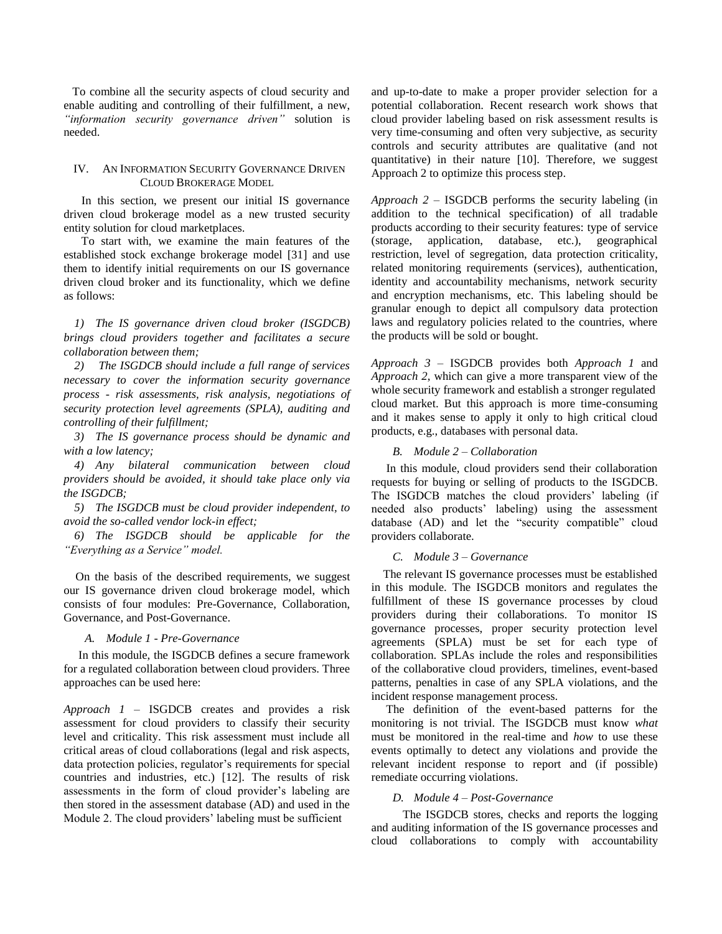To combine all the security aspects of cloud security and enable auditing and controlling of their fulfillment, a new, *"information security governance driven"* solution is needed.

### IV. AN INFORMATION SECURITY GOVERNANCE DRIVEN CLOUD BROKERAGE MODEL

 In this section, we present our initial IS governance driven cloud brokerage model as a new trusted security entity solution for cloud marketplaces.

 To start with, we examine the main features of the established stock exchange brokerage model [31] and use them to identify initial requirements on our IS governance driven cloud broker and its functionality, which we define as follows:

*1) The IS governance driven cloud broker (ISGDCB) brings cloud providers together and facilitates a secure collaboration between them;*

*2) The ISGDCB should include a full range of services necessary to cover the information security governance process - risk assessments, risk analysis, negotiations of security protection level agreements (SPLA), auditing and controlling of their fulfillment;*

*3) The IS governance process should be dynamic and with a low latency;*

*4) Any bilateral communication between cloud providers should be avoided, it should take place only via the ISGDCB;*

*5) The ISGDCB must be cloud provider independent, to avoid the so-called vendor lock-in effect;*

*6) The ISGDCB should be applicable for the "Everything as a Service" model.*

 On the basis of the described requirements, we suggest our IS governance driven cloud brokerage model, which consists of four modules: Pre-Governance, Collaboration, Governance, and Post-Governance.

*A. Module 1 - Pre-Governance*

 In this module, the ISGDCB defines a secure framework for a regulated collaboration between cloud providers. Three approaches can be used here:

*Approach 1* – ISGDCB creates and provides a risk assessment for cloud providers to classify their security level and criticality. This risk assessment must include all critical areas of cloud collaborations (legal and risk aspects, data protection policies, regulator's requirements for special countries and industries, etc.) [12]. The results of risk assessments in the form of cloud provider's labeling are then stored in the assessment database (AD) and used in the Module 2. The cloud providers' labeling must be sufficient

and up-to-date to make a proper provider selection for a potential collaboration. Recent research work shows that cloud provider labeling based on risk assessment results is very time-consuming and often very subjective, as security controls and security attributes are qualitative (and not quantitative) in their nature [10]. Therefore, we suggest Approach 2 to optimize this process step.

*Approach 2* – ISGDCB performs the security labeling (in addition to the technical specification) of all tradable products according to their security features: type of service (storage, application, database, etc.), geographical restriction, level of segregation, data protection criticality, related monitoring requirements (services), authentication, identity and accountability mechanisms, network security and encryption mechanisms, etc. This labeling should be granular enough to depict all compulsory data protection laws and regulatory policies related to the countries, where the products will be sold or bought.

*Approach 3* – ISGDCB provides both *Approach 1* and *Approach 2*, which can give a more transparent view of the whole security framework and establish a stronger regulated cloud market. But this approach is more time-consuming and it makes sense to apply it only to high critical cloud products, e.g., databases with personal data.

### *B. Module 2 – Collaboration*

 In this module, cloud providers send their collaboration requests for buying or selling of products to the ISGDCB. The ISGDCB matches the cloud providers' labeling (if needed also products' labeling) using the assessment database (AD) and let the "security compatible" cloud providers collaborate.

### *C. Module 3 – Governance*

 The relevant IS governance processes must be established in this module. The ISGDCB monitors and regulates the fulfillment of these IS governance processes by cloud providers during their collaborations. To monitor IS governance processes, proper security protection level agreements (SPLA) must be set for each type of collaboration. SPLAs include the roles and responsibilities of the collaborative cloud providers, timelines, event-based patterns, penalties in case of any SPLA violations, and the incident response management process.

 The definition of the event-based patterns for the monitoring is not trivial. The ISGDCB must know *what*  must be monitored in the real-time and *how* to use these events optimally to detect any violations and provide the relevant incident response to report and (if possible) remediate occurring violations.

## *D. Module 4 – Post-Governance*

 The ISGDCB stores, checks and reports the logging and auditing information of the IS governance processes and cloud collaborations to comply with accountability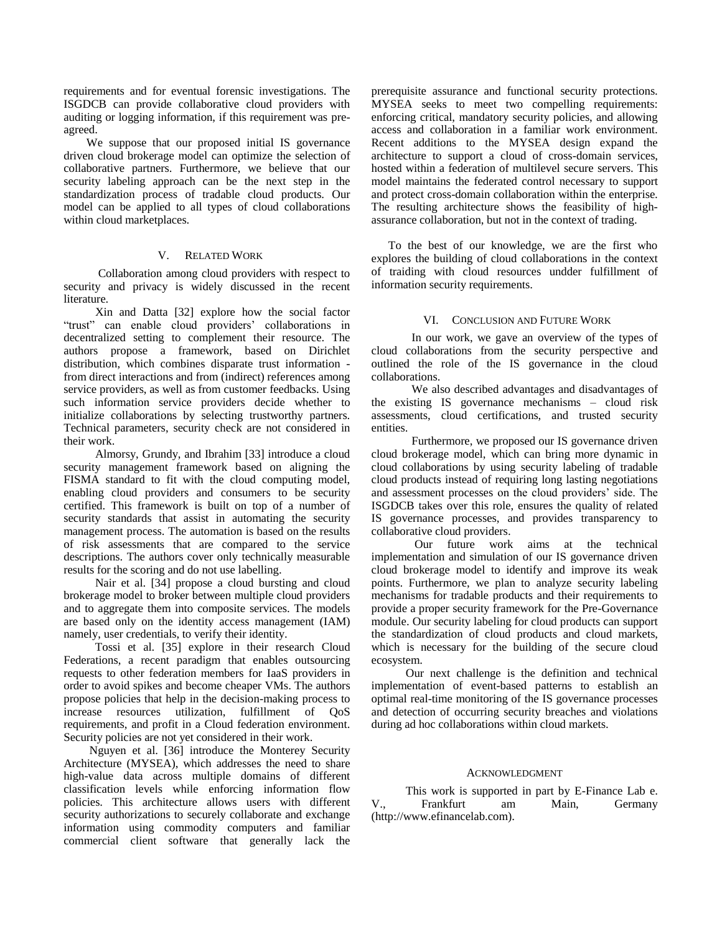requirements and for eventual forensic investigations. The ISGDCB can provide collaborative cloud providers with auditing or logging information, if this requirement was preagreed.

 We suppose that our proposed initial IS governance driven cloud brokerage model can optimize the selection of collaborative partners. Furthermore, we believe that our security labeling approach can be the next step in the standardization process of tradable cloud products. Our model can be applied to all types of cloud collaborations within cloud marketplaces.

#### V. RELATED WORK

 Collaboration among cloud providers with respect to security and privacy is widely discussed in the recent literature.

 Xin and Datta [32] explore how the social factor "trust" can enable cloud providers' collaborations in decentralized setting to complement their resource. The authors propose a framework, based on Dirichlet distribution, which combines disparate trust information from direct interactions and from (indirect) references among service providers, as well as from customer feedbacks. Using such information service providers decide whether to initialize collaborations by selecting trustworthy partners. Technical parameters, security check are not considered in their work.

 Almorsy, Grundy, and Ibrahim [33] introduce a cloud security management framework based on aligning the FISMA standard to fit with the cloud computing model, enabling cloud providers and consumers to be security certified. This framework is built on top of a number of security standards that assist in automating the security management process. The automation is based on the results of risk assessments that are compared to the service descriptions. The authors cover only technically measurable results for the scoring and do not use labelling.

 Nair et al. [34] propose a cloud bursting and cloud brokerage model to broker between multiple cloud providers and to aggregate them into composite services. The models are based only on the identity access management (IAM) namely, user credentials, to verify their identity.

 Tossi et al. [35] explore in their research Cloud Federations, a recent paradigm that enables outsourcing requests to other federation members for IaaS providers in order to avoid spikes and become cheaper VMs. The authors propose policies that help in the decision-making process to increase resources utilization, fulfillment of QoS requirements, and profit in a Cloud federation environment. Security policies are not yet considered in their work.

 Nguyen et al. [36] introduce the Monterey Security Architecture (MYSEA), which addresses the need to share high-value data across multiple domains of different classification levels while enforcing information flow policies. This architecture allows users with different security authorizations to securely collaborate and exchange information using commodity computers and familiar commercial client software that generally lack the

prerequisite assurance and functional security protections. MYSEA seeks to meet two compelling requirements: enforcing critical, mandatory security policies, and allowing access and collaboration in a familiar work environment. Recent additions to the MYSEA design expand the architecture to support a cloud of cross-domain services, hosted within a federation of multilevel secure servers. This model maintains the federated control necessary to support and protect cross-domain collaboration within the enterprise. The resulting architecture shows the feasibility of highassurance collaboration, but not in the context of trading.

To the best of our knowledge, we are the first who explores the building of cloud collaborations in the context of traiding with cloud resources undder fulfillment of information security requirements.

### VI. CONCLUSION AND FUTURE WORK

 In our work, we gave an overview of the types of cloud collaborations from the security perspective and outlined the role of the IS governance in the cloud collaborations.

 We also described advantages and disadvantages of the existing IS governance mechanisms – cloud risk assessments, cloud certifications, and trusted security entities.

 Furthermore, we proposed our IS governance driven cloud brokerage model, which can bring more dynamic in cloud collaborations by using security labeling of tradable cloud products instead of requiring long lasting negotiations and assessment processes on the cloud providers' side. The ISGDCB takes over this role, ensures the quality of related IS governance processes, and provides transparency to collaborative cloud providers.

 Our future work aims at the technical implementation and simulation of our IS governance driven cloud brokerage model to identify and improve its weak points. Furthermore, we plan to analyze security labeling mechanisms for tradable products and their requirements to provide a proper security framework for the Pre-Governance module. Our security labeling for cloud products can support the standardization of cloud products and cloud markets, which is necessary for the building of the secure cloud ecosystem.

 Our next challenge is the definition and technical implementation of event-based patterns to establish an optimal real-time monitoring of the IS governance processes and detection of occurring security breaches and violations during ad hoc collaborations within cloud markets.

### ACKNOWLEDGMENT

 This work is supported in part by E-Finance Lab e. V., Frankfurt am Main, Germany [\(http://www.efinancelab.com\)](http://www.efinancelab.com/).